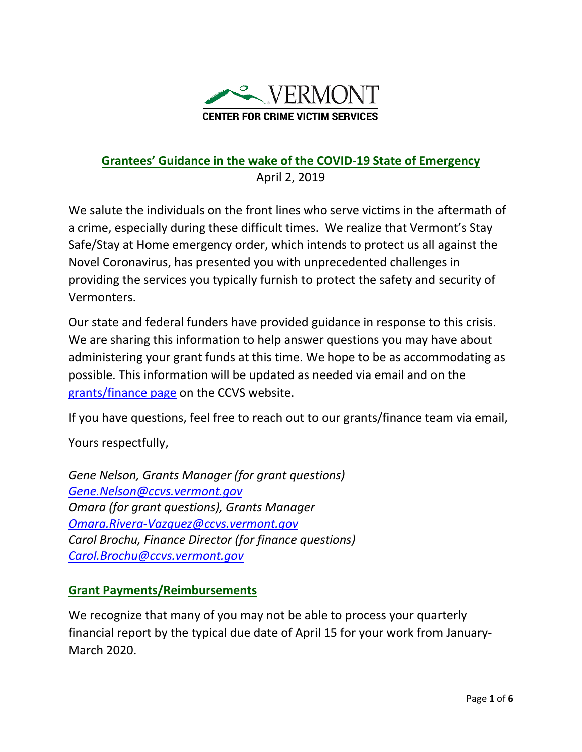

## **Grantees' Guidance in the wake of the COVID-19 State of Emergency** April 2, 2019

We salute the individuals on the front lines who serve victims in the aftermath of a crime, especially during these difficult times. We realize that Vermont's Stay Safe/Stay at Home emergency order, which intends to protect us all against the Novel Coronavirus, has presented you with unprecedented challenges in providing the services you typically furnish to protect the safety and security of Vermonters.

Our state and federal funders have provided guidance in response to this crisis. We are sharing this information to help answer questions you may have about administering your grant funds at this time. We hope to be as accommodating as possible. This information will be updated as needed via email and on the [grants/finance page](http://www.ccvs.vermont.gov/support-for-professionals/grants-program) on the CCVS website.

If you have questions, feel free to reach out to our grants/finance team via email,

Yours respectfully,

*Gene Nelson, Grants Manager (for grant questions) [Gene.Nelson@ccvs.vermont.gov](mailto:Gene.Nelson@ccvs.vermont.gov) Omara (for grant questions), Grants Manager Omara.Rivera-Vazquez@ccvs.vermont.gov Carol Brochu, Finance Director (for finance questions) Carol.Brochu@ccvs.vermont.gov*

### **Grant Payments/Reimbursements**

We recognize that many of you may not be able to process your quarterly financial report by the typical due date of April 15 for your work from January-March 2020.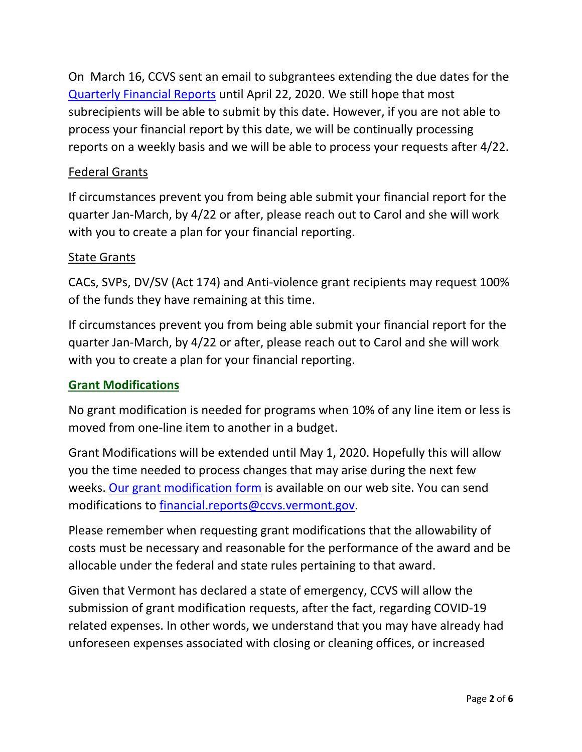On March 16, CCVS sent an email to subgrantees extending the due dates for the [Quarterly Financial Reports](http://www.ccvs.vermont.gov/support-for-professionals/grants-program/financial-reporting) until April 22, 2020. We still hope that most subrecipients will be able to submit by this date. However, if you are not able to process your financial report by this date, we will be continually processing reports on a weekly basis and we will be able to process your requests after 4/22.

## Federal Grants

If circumstances prevent you from being able submit your financial report for the quarter Jan-March, by 4/22 or after, please reach out to Carol and she will work with you to create a plan for your financial reporting.

### State Grants

CACs, SVPs, DV/SV (Act 174) and Anti-violence grant recipients may request 100% of the funds they have remaining at this time.

If circumstances prevent you from being able submit your financial report for the quarter Jan-March, by 4/22 or after, please reach out to Carol and she will work with you to create a plan for your financial reporting.

### **Grant Modifications**

No grant modification is needed for programs when 10% of any line item or less is moved from one-line item to another in a budget.

Grant Modifications will be extended until May 1, 2020. Hopefully this will allow you the time needed to process changes that may arise during the next few weeks. [Our grant modification form](http://www.ccvs.vermont.gov/support-for-professionals/grants-program/program-reporting) is available on our web site. You can send modifications to [financial.reports@ccvs.vermont.gov.](mailto:financial.reports@ccvs.vermont.gov)

Please remember when requesting grant modifications that the allowability of costs must be necessary and reasonable for the performance of the award and be allocable under the federal and state rules pertaining to that award.

Given that Vermont has declared a state of emergency, CCVS will allow the submission of grant modification requests, after the fact, regarding COVID-19 related expenses. In other words, we understand that you may have already had unforeseen expenses associated with closing or cleaning offices, or increased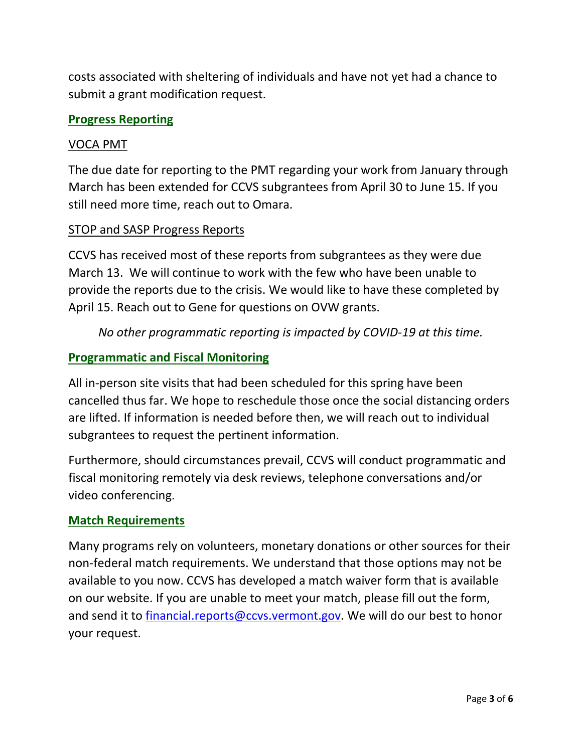costs associated with sheltering of individuals and have not yet had a chance to submit a grant modification request.

#### **Progress Reporting**

#### VOCA PMT

The due date for reporting to the PMT regarding your work from January through March has been extended for CCVS subgrantees from April 30 to June 15. If you still need more time, reach out to Omara.

#### STOP and SASP Progress Reports

CCVS has received most of these reports from subgrantees as they were due March 13. We will continue to work with the few who have been unable to provide the reports due to the crisis. We would like to have these completed by April 15. Reach out to Gene for questions on OVW grants.

*No other programmatic reporting is impacted by COVID-19 at this time.*

#### **Programmatic and Fiscal Monitoring**

All in-person site visits that had been scheduled for this spring have been cancelled thus far. We hope to reschedule those once the social distancing orders are lifted. If information is needed before then, we will reach out to individual subgrantees to request the pertinent information.

Furthermore, should circumstances prevail, CCVS will conduct programmatic and fiscal monitoring remotely via desk reviews, telephone conversations and/or video conferencing.

#### **Match Requirements**

Many programs rely on volunteers, monetary donations or other sources for their non-federal match requirements. We understand that those options may not be available to you now. CCVS has developed a match waiver form that is available on our website. If you are unable to meet your match, please fill out the form, and send it to [financial.reports@ccvs.vermont.gov.](mailto:financial.reports@ccvs.vermont.gov) We will do our best to honor your request.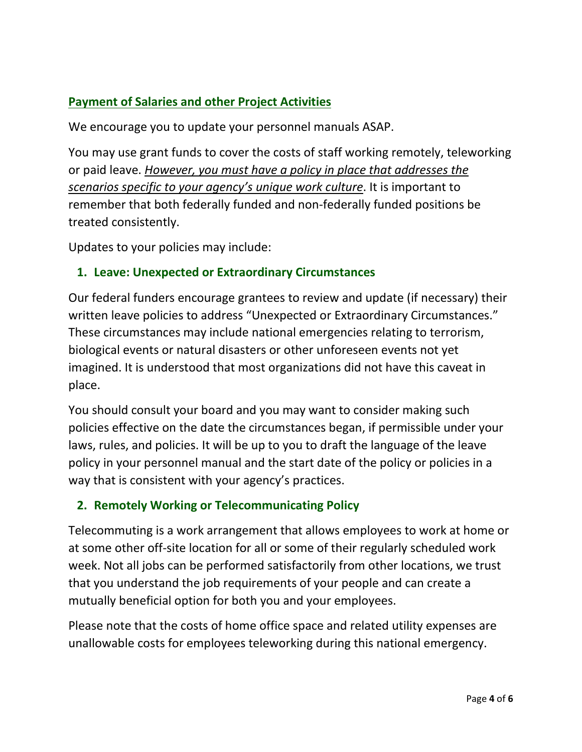# **Payment of Salaries and other Project Activities**

We encourage you to update your personnel manuals ASAP.

You may use grant funds to cover the costs of staff working remotely, teleworking or paid leave. *However, you must have a policy in place that addresses the scenarios specific to your agency's unique work culture*. It is important to remember that both federally funded and non-federally funded positions be treated consistently.

Updates to your policies may include:

## **1. Leave: Unexpected or Extraordinary Circumstances**

Our federal funders encourage grantees to review and update (if necessary) their written leave policies to address "Unexpected or Extraordinary Circumstances." These circumstances may include national emergencies relating to terrorism, biological events or natural disasters or other unforeseen events not yet imagined. It is understood that most organizations did not have this caveat in place.

You should consult your board and you may want to consider making such policies effective on the date the circumstances began, if permissible under your laws, rules, and policies. It will be up to you to draft the language of the leave policy in your personnel manual and the start date of the policy or policies in a way that is consistent with your agency's practices.

# **2. Remotely Working or Telecommunicating Policy**

Telecommuting is a work arrangement that allows employees to work at home or at some other off-site location for all or some of their regularly scheduled work week. Not all jobs can be performed satisfactorily from other locations, we trust that you understand the job requirements of your people and can create a mutually beneficial option for both you and your employees.

Please note that the costs of home office space and related utility expenses are unallowable costs for employees teleworking during this national emergency.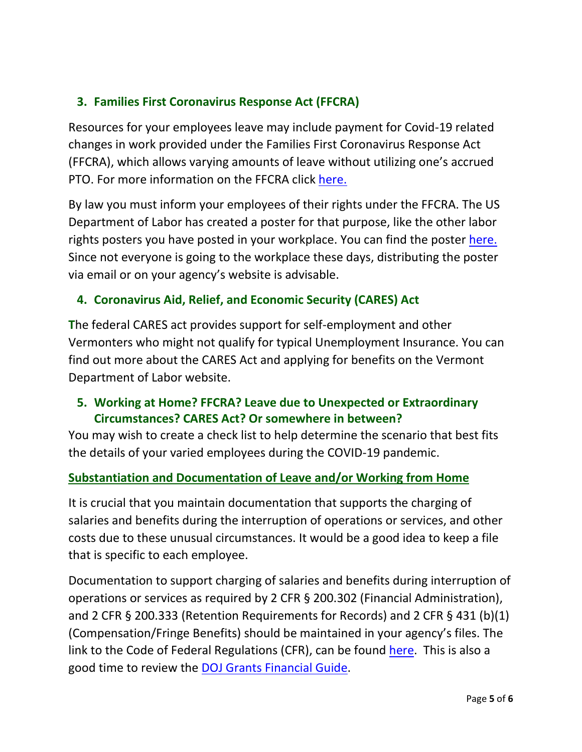# **3. Families First Coronavirus Response Act (FFCRA)**

Resources for your employees leave may include payment for Covid-19 related changes in work provided under the Families First Coronavirus Response Act (FFCRA), which allows varying amounts of leave without utilizing one's accrued PTO. For more information on the FFCRA click [here.](https://www.dol.gov/agencies/whd/pandemic/ffcra-employer-paid-leave)

By law you must inform your employees of their rights under the FFCRA. The US Department of Labor has created a poster for that purpose, like the other labor rights posters you have posted in your workplace. You can find the poster [here.](https://www.dol.gov/agencies/whd/pandemic) Since not everyone is going to the workplace these days, distributing the poster via email or on your agency's website is advisable.

## **4. Coronavirus Aid, Relief, and Economic Security (CARES) Act**

**T**he federal CARES act provides support for self-employment and other Vermonters who might not qualify for typical Unemployment Insurance. You can find out more about the CARES Act and applying for benefits on the Vermont Department of Labor website.

# **5. Working at Home? FFCRA? Leave due to Unexpected or Extraordinary Circumstances? CARES Act? Or somewhere in between?**

You may wish to create a check list to help determine the scenario that best fits the details of your varied employees during the COVID-19 pandemic.

### **Substantiation and Documentation of Leave and/or Working from Home**

It is crucial that you maintain documentation that supports the charging of salaries and benefits during the interruption of operations or services, and other costs due to these unusual circumstances. It would be a good idea to keep a file that is specific to each employee.

Documentation to support charging of salaries and benefits during interruption of operations or services as required by 2 CFR § 200.302 (Financial Administration), and 2 CFR § 200.333 (Retention Requirements for Records) and 2 CFR § 431 (b)(1) (Compensation/Fringe Benefits) should be maintained in your agency's files. The link to the Code of Federal Regulations (CFR), can be found [here.](https://www.ecfr.gov/cgi-bin/text-idx?SID=4f84f27aff643fe3de55e947ae44ca77&tpl=/ecfrbrowse/Title02/2chapterII.tpl) This is also a good time to review the [DOJ Grants Financial Guide.](https://www.ojp.gov/sites/g/files/xyckuh241/files/media/document/DOJ_FinancialGuide.pdf)